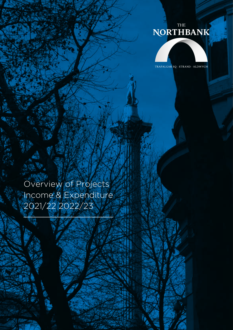### NORTHBANK

**RAFALGAR SQ · STRAND · ALDWYCH** 

Overview of Projects Income & Expenditure 2021/22 2022/23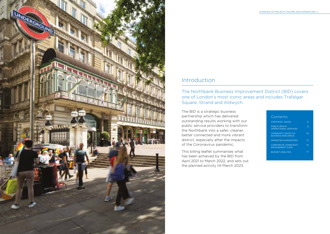

#### Introduction

The Northbank Business Improvement District (BID) covers one of London's most iconic areas and includes Trafalgar Square, Strand and Aldwych.

The BID is a strategic business partnership which has delivered outstanding results working with our public service providers to transform the Northbank into a safer, cleaner, better connected and more vibrant district, especially after the impacts of the Coronavirus pandemic.

This billing leaflet summarises what has been achieved by the BID from April 2021 to March 2022, and sets out the planned activity till March 2023.

| Contents                                                    |           |
|-------------------------------------------------------------|-----------|
| <b>STRATEGIC VISION</b>                                     | 6         |
| PUBLIC REALM<br><b>OPERATIONAL SERVICES</b>                 | я         |
| <b>COMMUNITY SAFFTY &amp;</b><br><b>BUSINESS RESILIENCE</b> | 10        |
| <b>MARKETED &amp; PROMOTED</b>                              | $12^{12}$ |
| <b>CORPORATE COMMUNITY</b><br><b>ENGAGEMENT (CSR)</b>       | 14        |
| <b>BUDGET ANALYSIS</b>                                      | 17        |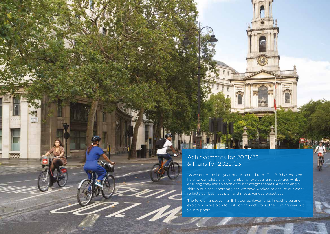#### Achievements for 2021/22 & Plans for 2022/23

**WWW** 

As we enter the last year of our second term, The BID has worked hard to complete a large number of projects and activities whilst ensuring they link to each of our strategic themes. After taking a shift in our last reporting year, we have worked to ensure our work reflects our business plan and meets various objectives.

OVERVIEW OF PROJECTS: INCOME AND EXPENDITURE | 4

The following pages highlight our achievements in each area and explain how we plan to build on this activity in the coming year with your support.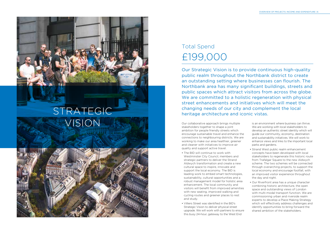STRATEGIC VISION



#### Total Spend £199,000

Our Strategic Vision is to provide continuous high-quality public realm throughout the Northbank district to create an outstanding setting where businesses can flourish. The Northbank area has many significant buildings, streets and public spaces which attract visitors from across the globe. We are committed to a holistic regeneration with physical street enhancements and initiatives which will meet the changing needs of our city and complement the local heritage architecture and iconic vistas.

Our collaborative approach brings multiple stakeholders together to shape a joint ambition for people friendly streets which encourage sustainable travel and enhance the connections to neighbouring districts. We are working to make our area healthier, greener and cleaner with initiatives to improve air quality and support active travel.

- The BID will continue to work with Westminster City Council, members and strategic partners to deliver the Strand Aldwych transformation and create a new cultural space to inspire, innovate and support the local economy. The BID is leading work to embed smart technologies, sustainability, cultural opportunities and a robust management model for holistic area enhancement. The local community and visitors will benefit from improved amenities with new seating, improved walking and cycling routes and greener places to rest and study.
- Villiers Street was identified in the BID's Strategic Vision to deliver physical street upgrade. We will work with partners to ensure this busy 24-hour, gateway to the West End

is an environment where business can thrive. We are working with local stakeholders to develop an authentic street identity which will guide our community, economy, destination and sustainability initiatives. We will work to enhance views and links to the important local parks and gardens.

- Strand West public realm enhancement concepts have been developed with local stakeholders to regenerate this historic route from Trafalgar Square to the new Aldwych scheme. The two schemes will be connected through overarching projects, to support the local economy and encourage footfall, with an improved visitor experience throughout the day and night.
- Our Riverfront area has a unique character combining historic architecture, the open space and outstanding views of London with multi-modal transport function. We are commissioning urban and riverside realm experts to develop a Place Making Strategy which will effectively address challenges and identify opportunities to bring forward the shared ambition of the stakeholders.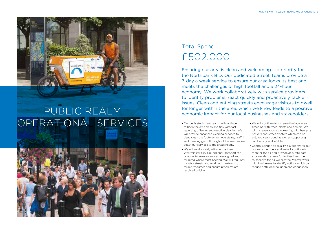

## PUBLIC REALM OPERATIONAL SERVICES



### Total Spend £502,000

Ensuring our area is clean and welcoming is a priority for the Northbank BID. Our dedicated Street Teams provide a 7-day a week service to ensure our area looks its best and meets the challenges of high footfall and a 24-hour economy. We work collaboratively with service providers to identify problems, react quickly and proactively tackle issues. Clean and enticing streets encourage visitors to dwell for longer within the area, which we know leads to a positive economic impact for our local businesses and stakeholders.

- Our dedicated street teams will continue to keep the area clean and tidy with fast reporting of issues and reactive cleaning. We will provide enhanced cleaning services to deep clean the footway, remove stains, graffiti and chewing gum. Throughout the seasons we adapt our services to the area's needs.
- We will work closely with our partners Westminster City Council and Transport for London, to ensure services are aligned and targeted where most needed. We will regularly monitor streets and work with partners to target resources and ensure problems are resolved quickly.
- We will continue to increase the local area greening with trees, plants and flowers. We will increase access to greening with hanging baskets and street planters which can be enjoyed year-round as well as supporting biodiversity and wildlife.
- Central London air quality is a priority for our business members and we will continue to monitor the air and provide accurate data as an evidence base for further investment to improve the air we breathe. We will work with businesses to identify actions which can reduce both local pollution and congestion.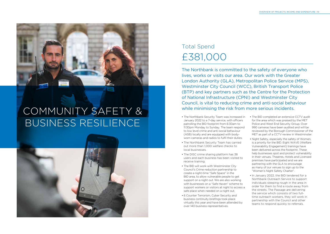

## COMMUNITY SAFETY & BUSINESS RESILIENCE



#### Total Spend £381,000

The Northbank is committed to the safety of everyone who lives, works or visits our area. Our work with the Greater London Authority (GLA), Metropolitan Police Service (MPS), Westminster City Council (WCC), British Transport Police (BTP) and key partners such as the Centre for the Protection of National Infrastructure (CPNI) and Westminster City Council, is vital to reducing crime and anti-social behaviour while minimising the risk from more serious incidents.

- The Northbank Security Team was increased in January 2022 to a 7-day service, with officers patrolling the BID footprint from 6:30am to 11:30pm Monday to Sunday. The team respond to low level crime and anti-social behaviour (ASB) locally and are equipped with bodyworn cameras and radios to fulfil their duties.
- The Northbank Security Team has carried out more than 1,000 welfare checks to local businesses.
- The DISC crime sharing platform has 38 users and each business has been visited to receive training.
- The BID will work with Westminster City Council's Crime reduction partnership to create a night-time "Safe Space" in the BID area, to allow vulnerable people to get support on a night out. We are also working with businesses on a "Safe Haven" scheme to support workers or visitors at night to access a safe place when needed on a night out.
- 6 Counter Terrorism, Cyber Security and business continuity briefings took place virtually this year and have been attended by over 140 business representatives.
- The BID completed an extensive CCTV audit for the area which was praised by the MET Police and West End Security Group. Over 990 cameras have been audited and will be reviewed by the Borough Commissioner of the MET as part of a CCTV review in Westminster.
- Night Safety, especially the safety of Women, is a priority for the BID. Fight WAVE (Welfare Vulnerability Engagement) trainings have been delivered across the footprint. These help businesses spot and protect vulnerability in their venues. Theatres, Hotels and Licensed premises have participated and we are partnering with the GLA to encourage as many of our venues to sign up to the "Women's Night Safety Charter".
- In January 2022, the BID tendered for a Northbank Outreach Service to support individuals sleeping rough in the area in order for them to find a route away from the streets. The Passage are delivering the service which consists of two fulltime outreach workers, they will work in partnership with the Council and other teams to respond quickly to referrals.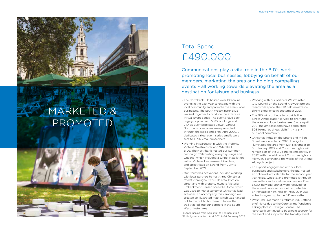

# MARKETED & PROMOTED



### Total Spend £490,000

Communications play a vital role in the BID's work promoting local businesses, lobbying on behalf of our members, marketing the area and holding compelling events – all working towards elevating the area as a destination for leisure and business.

- The Northbank BID hosted over 100 online events in the past year to engage with the local community and promote the area's local businesses. The South Westminster BIDs worked together to produce the extensive Virtual Event Series. The events have been hugely popular with 5,527 bookings and 24,485 Eventbrite page views<sup>1</sup>. Various Northbank companies were promoted through the series and since April 2020, 9 dedicated virtual event series emails were sent to 11,702 email subscribers.
- Working in partnership with the Victoria, Victoria Westminster and Whitehall BIDs, The Northbank hosted our Summer campaign 'Celebrating everyday Kings and Queens', which included a tunnel installation within Victoria Embankment Gardens, and street flags on Strand from July to September 2021.
- Our Christmas activations included working with local partners to host three Christmas Chalets throughout the BID area, both on street and with property owners. Victoria Embankment Garden housed a Dome, which was used to host a variety of Christmas lead activities. To accompany this campaign we created an illustrated map, which was handed out to the public, for them to follow the trail that led into our partners in the South Westminster area.

<sup>1</sup> Events running from April 2021 to February 2022 2 Both figures are from April 2021 to 1st February 2022

- Working with our partners Westminster City Council on the Strand Aldwych project meanwhile space, the BID held an alfresco dining experience in September 2021.
- The BID will continue to provide the Street Ambassador service to promote the area and local businesses. Since April 2021 the ambassadors have completed 508 formal business visits<sup>2</sup> to support our local community.
- Christmas lights on the Strand and Villiers Street were erected in 2021. The lights illuminated the area from 12th November to 5th January 2022 and Christmas Lights will remain part of the BID's marketing activity in 2022, with the addition of Christmas lights on Aldwych, illuminating the works of the Strand Aldwych project.
- To support engagement with our local businesses and stakeholders, the BID hosted an online advent calendar for the second year, via the BID website, and promoted it through newsletters and social media channels. Over 5,000 individual entries were received for the advent calendar competition, which is an increase of 46% Year on Year. Over 250 entrants signed up to the BID newsletter.
- West End Live made its return in 2021, after a brief hiatus due to the Coronavirus Pandemic. Taking place in Trafalgar Square, The Northbank continued to be a main sponsor for the event and supported the two-day event.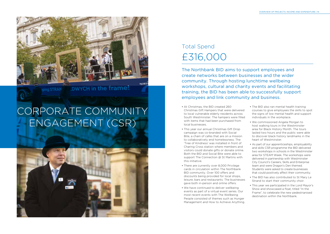

DWYCH in the frame! eping STRAN

### CORPORATE COMMUNITY ENGAGEMENT (CSR)



#### Total Spend £316,000

The Northbank BID aims to support employees and create networks between businesses and the wider community. Through hosting lunchtime wellbeing workshops, cultural and charity events and facilitating training, the BID has been able to successfully support employees and link community and business.

- At Christmas, the BID created 260 Christmas Gift Hampers that were delivered to local vulnerable elderly residents across South Westminster. The hampers were filled with items that had been purchased from local businesses.
- This year our annual Christmas Gift Drop campaign was co-branded with Social Bite, a chain of cafes that are on a mission to collaboratively end homelessness. The 'Tree of Kindness' was installed in front of Charing Cross station where members and visitors could donate gifts or donate online. Both the BID and Social Bite were able to support The Connection @ St Martins with this initiative.
- There are currently over 8,000 Privilege cards in circulation within The Northbank BID community. Over 100 offers and discounts being provided for local shops, leisure, bars and restaurants. The businesses gave both in-person and online offers.
- We have continued to deliver wellbeing events as part of a virtual event series. Our most recent events with The Wellbeing People consisted of themes such as Hunger Management and How to Achieve Anything.
- The BID also ran mental health training courses to give employees the skills to spot the signs of low mental health and support individuals in the workplace.
- We commissioned Angela Morgan to host walking tours in the Westminster area for Black History Month. The tours lasted two hours and the public were able to discover black history landmarks in the heart of Westminster.
- As part of our apprenticeships, employability and skills CSR programme the BID delivered two workshops in schools in the Westminster area for STEAM Week. The workshops were delivered in partnership with Westminster City Council's Careers, Skills and Enterprise team and were Dragon's Den themed. Students were asked to create businesses that could positively affect their community.
- The BID has also contributed to St Mary Le Strand to start their community choir.
- This year we participated in the Lord Mayor's Show and showcased a float, titled "In the Frame", to celebrate the new pedestrianised destination within the Northbank.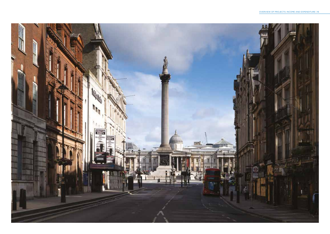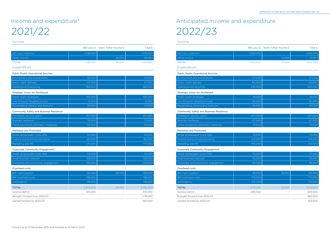### Income and expenditure\* 2021/22

| Income                                   |            |                                   |            |
|------------------------------------------|------------|-----------------------------------|------------|
|                                          |            | BID Levy £ Grant / Other Income £ | Total £    |
| <b>BID Levy collection</b>               | 1,739,000  |                                   | 1,739,000  |
| Other income                             |            | 28,000                            | 28,000     |
| <b>TOTAL</b>                             | 1,739,000  | 28,000                            | 1,767,000  |
| Expenditure                              |            |                                   |            |
| Public Realm Operational Services        |            |                                   |            |
| Environment and sustainability           | 52,000     |                                   | 52,000     |
| Public realm delivery                    | 67,000     |                                   | 67,000     |
| Cleansing and recycling                  | 383,000    |                                   | 383,000    |
| Strategic Vision for Northbank           |            |                                   |            |
| Public realm strategies                  | 105,000    |                                   | 105,000    |
| Low Emission Neighbourhood               | 41,000     |                                   | 41,000     |
| Placemaking / Strand and Aldwych         | 53,000     |                                   | 53,000     |
| Community Safety and Business Resilience |            |                                   |            |
| Northbank security patrol                | 257,000    |                                   | 257,000    |
| <b>Business resilience</b>               | 70,000     |                                   | 70,000     |
| Crime prevention seminars / materials    | 54,000     |                                   | 54,000     |
| Marketed and Promoted                    |            |                                   |            |
| Street ambassador costs 50%              | 54,000     |                                   | 54,000     |
| Cultural and promotional events          | 261,000    |                                   | 261,000    |
| Marketing and PR                         | 175,000    |                                   | 175,000    |
| Corporate Community Engagement           |            |                                   |            |
| Street ambassador costs 50%              | 54,000     |                                   | 54,000     |
| Small business network                   | 129,000    |                                   | 129,000    |
| Corporate and community engagement       | 133,000    |                                   | 133,000    |
| Overhead costs                           |            |                                   |            |
| <b>BID Team support</b>                  | 130,022    | 28,000                            | 158,000    |
| <b>BID</b> overhead costs                | 198,000    |                                   | 198,000    |
| Contingency                              | 138,000    |                                   | 138,000    |
| <b>TOTAL</b>                             | 2,354,000  | 28,000                            | 2,382,000  |
| Surplus/deficit                          | $-615,000$ |                                   | $-615,000$ |
| Brought forward from 2020/21             |            |                                   | 1,178,000  |
| Carried forward to 2022/23               |            |                                   | 563,000    |

#### Anticipated Income and expenditure 2022/23

Income

|                                          |            | BID Levy £ Grant / Other Income £ | Total £    |
|------------------------------------------|------------|-----------------------------------|------------|
| <b>BID Levy collection</b>               | 1,932,000  |                                   | 1,932,000  |
| Other income                             |            | 10,500                            | 10,500     |
| <b>TOTAL</b>                             | 1,932,000  | 10,500                            | 1,942,500  |
| Expenditure                              |            |                                   |            |
| Public Realm Operational Services        |            |                                   |            |
| Environment and sustainability           | 47,000     |                                   | 47,000     |
| Public realm delivery                    | 60,000     |                                   | 60,000     |
| Cleansing and recycling                  | 345,000    |                                   | 345,000    |
| Strategic Vision for Northbank           |            |                                   |            |
| Public realm strategies                  | 91,000     |                                   | 91,000     |
| Low Emission Neighbourhood               | 36,000     |                                   | 36,000     |
| Placemaking / Strand and Aldwych         | 45,000     |                                   | 45,000     |
| Community Safety and Business Resilience |            |                                   |            |
| Northbank security patrol                | 247,000    |                                   | 247,000    |
| <b>Business resilience</b>               | 67,000     |                                   | 67,000     |
| Crime prevention seminars / materials    | 51,000     |                                   | 51,000     |
| Marketed and Promoted                    |            |                                   |            |
| Street ambassador costs 50%              | 73,000     |                                   | 73,000     |
| Cultural and promotional events          | 214,000    |                                   | 214,000    |
| Marketing and PR                         | 144,000    |                                   | 144,000    |
| Corporate Community Engagement           |            |                                   |            |
| Street ambassador costs 50%              | 73,000     |                                   | 73,000     |
| Small business network                   | 113,000    |                                   | 113,000    |
| Corporate and community engagement       | 116,000    |                                   | 116,000    |
| Overhead costs                           |            |                                   |            |
| <b>BID Team support</b>                  | 118,500    | 10,500                            | 129,000    |
| <b>BID</b> overhead costs                | 172,000    |                                   | 172,000    |
| Contingency                              | 129,000    |                                   | 129,000    |
| <b>TOTAL</b>                             | 2,141,500  | 10,500                            | 2,152,000  |
| Surplus/deficit                          | $-209,500$ |                                   | $-209,500$ |
| Brought forward from 2021/22             |            |                                   | 563,000    |
| Carried forward to 2023/24               |            |                                   | 353,500    |